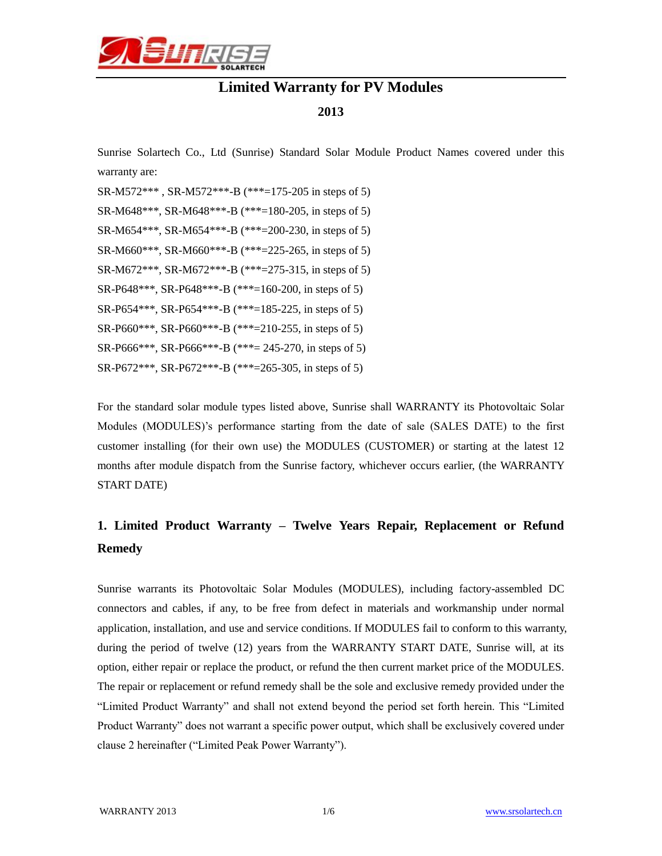

# **Limited Warranty for PV Modules**

#### **2013**

Sunrise Solartech Co., Ltd (Sunrise) Standard Solar Module Product Names covered under this warranty are:

SR-M572\*\*\* , SR-M572\*\*\*-B (\*\*\*=175-205 in steps of 5) SR-M648\*\*\*, SR-M648\*\*\*-B (\*\*\*=180-205, in steps of 5) SR-M654\*\*\*, SR-M654\*\*\*-B (\*\*\*=200-230, in steps of 5) SR-M660\*\*\*, SR-M660\*\*\*-B (\*\*\*=225-265, in steps of 5) SR-M672\*\*\*, SR-M672\*\*\*-B (\*\*\*=275-315, in steps of 5) SR-P648\*\*\*, SR-P648\*\*\*-B (\*\*\*=160-200, in steps of 5) SR-P654\*\*\*, SR-P654\*\*\*-B (\*\*\*=185-225, in steps of 5) SR-P660\*\*\*, SR-P660\*\*\*-B (\*\*\*=210-255, in steps of 5) SR-P666\*\*\*, SR-P666\*\*\*-B (\*\*\*= 245-270, in steps of 5) SR-P672\*\*\*, SR-P672\*\*\*-B (\*\*\*=265-305, in steps of 5)

For the standard solar module types listed above, Sunrise shall WARRANTY its Photovoltaic Solar Modules (MODULES)'s performance starting from the date of sale (SALES DATE) to the first customer installing (for their own use) the MODULES (CUSTOMER) or starting at the latest 12 months after module dispatch from the Sunrise factory, whichever occurs earlier, (the WARRANTY START DATE)

# **1. Limited Product Warranty – Twelve Years Repair, Replacement or Refund Remedy**

Sunrise warrants its Photovoltaic Solar Modules (MODULES), including factory-assembled DC connectors and cables, if any, to be free from defect in materials and workmanship under normal application, installation, and use and service conditions. If MODULES fail to conform to this warranty, during the period of twelve (12) years from the WARRANTY START DATE, Sunrise will, at its option, either repair or replace the product, or refund the then current market price of the MODULES. The repair or replacement or refund remedy shall be the sole and exclusive remedy provided under the "Limited Product Warranty" and shall not extend beyond the period set forth herein. This "Limited Product Warranty" does not warrant a specific power output, which shall be exclusively covered under clause 2 hereinafter ("Limited Peak Power Warranty").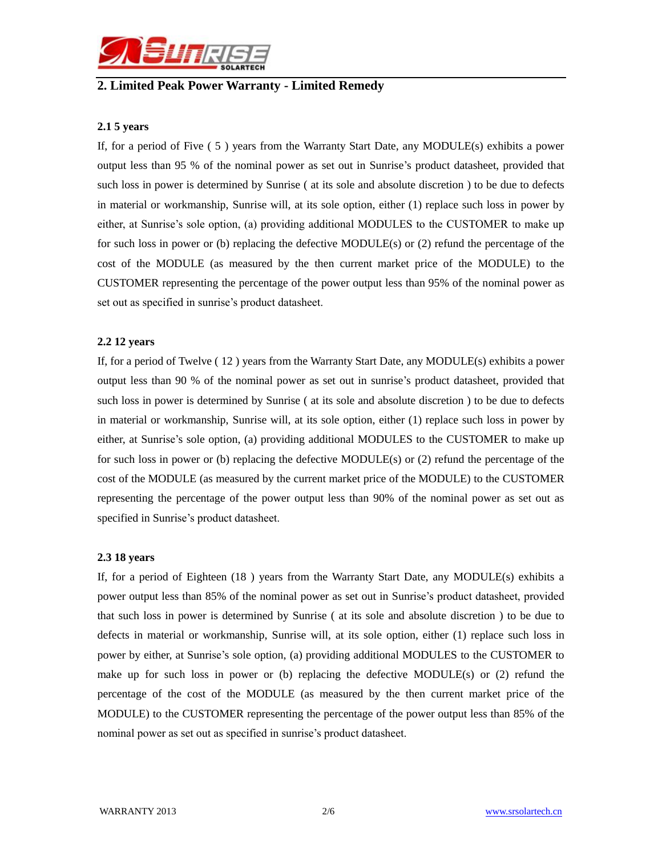

### **2. Limited Peak Power Warranty - Limited Remedy**

#### **2.1 5 years**

If, for a period of Five ( 5 ) years from the Warranty Start Date, any MODULE(s) exhibits a power output less than 95 % of the nominal power as set out in Sunrise's product datasheet, provided that such loss in power is determined by Sunrise ( at its sole and absolute discretion ) to be due to defects in material or workmanship, Sunrise will, at its sole option, either (1) replace such loss in power by either, at Sunrise's sole option, (a) providing additional MODULES to the CUSTOMER to make up for such loss in power or (b) replacing the defective MODULE(s) or (2) refund the percentage of the cost of the MODULE (as measured by the then current market price of the MODULE) to the CUSTOMER representing the percentage of the power output less than 95% of the nominal power as set out as specified in sunrise's product datasheet.

#### **2.2 12 years**

If, for a period of Twelve ( 12 ) years from the Warranty Start Date, any MODULE(s) exhibits a power output less than 90 % of the nominal power as set out in sunrise's product datasheet, provided that such loss in power is determined by Sunrise ( at its sole and absolute discretion ) to be due to defects in material or workmanship, Sunrise will, at its sole option, either (1) replace such loss in power by either, at Sunrise's sole option, (a) providing additional MODULES to the CUSTOMER to make up for such loss in power or (b) replacing the defective MODULE(s) or (2) refund the percentage of the cost of the MODULE (as measured by the current market price of the MODULE) to the CUSTOMER representing the percentage of the power output less than 90% of the nominal power as set out as specified in Sunrise's product datasheet.

#### **2.3 18 years**

If, for a period of Eighteen (18 ) years from the Warranty Start Date, any MODULE(s) exhibits a power output less than 85% of the nominal power as set out in Sunrise's product datasheet, provided that such loss in power is determined by Sunrise ( at its sole and absolute discretion ) to be due to defects in material or workmanship, Sunrise will, at its sole option, either (1) replace such loss in power by either, at Sunrise's sole option, (a) providing additional MODULES to the CUSTOMER to make up for such loss in power or (b) replacing the defective MODULE(s) or (2) refund the percentage of the cost of the MODULE (as measured by the then current market price of the MODULE) to the CUSTOMER representing the percentage of the power output less than 85% of the nominal power as set out as specified in sunrise's product datasheet.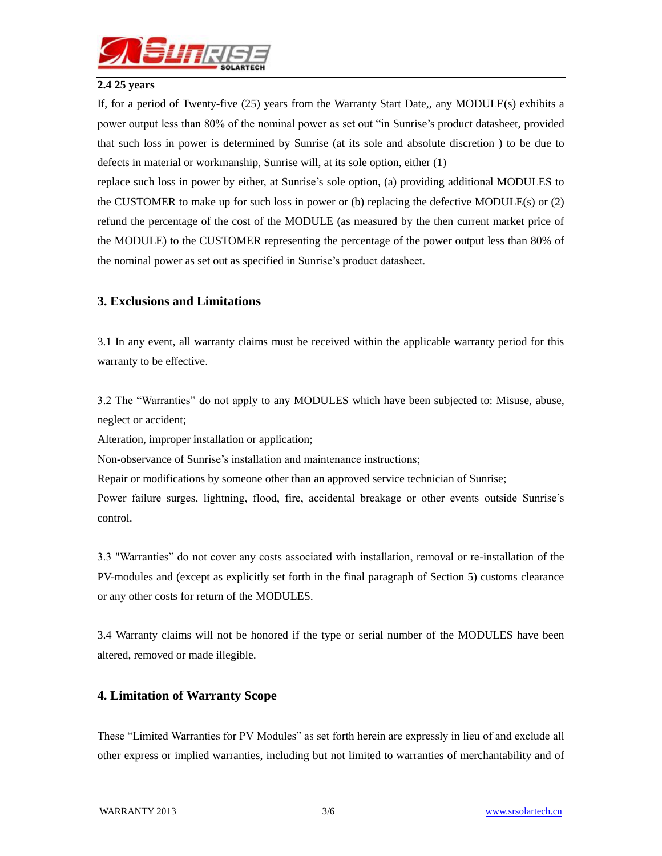

#### **2.4 25 years**

If, for a period of Twenty-five (25) years from the Warranty Start Date,, any MODULE(s) exhibits a power output less than 80% of the nominal power as set out "in Sunrise's product datasheet, provided that such loss in power is determined by Sunrise (at its sole and absolute discretion ) to be due to defects in material or workmanship, Sunrise will, at its sole option, either (1)

replace such loss in power by either, at Sunrise's sole option, (a) providing additional MODULES to the CUSTOMER to make up for such loss in power or (b) replacing the defective MODULE(s) or (2) refund the percentage of the cost of the MODULE (as measured by the then current market price of the MODULE) to the CUSTOMER representing the percentage of the power output less than 80% of the nominal power as set out as specified in Sunrise's product datasheet.

### **3. Exclusions and Limitations**

3.1 In any event, all warranty claims must be received within the applicable warranty period for this warranty to be effective.

3.2 The "Warranties" do not apply to any MODULES which have been subjected to: Misuse, abuse, neglect or accident;

Alteration, improper installation or application;

Non-observance of Sunrise's installation and maintenance instructions;

Repair or modifications by someone other than an approved service technician of Sunrise;

Power failure surges, lightning, flood, fire, accidental breakage or other events outside Sunrise's control.

3.3 "Warranties" do not cover any costs associated with installation, removal or re-installation of the PV-modules and (except as explicitly set forth in the final paragraph of Section 5) customs clearance or any other costs for return of the MODULES.

3.4 Warranty claims will not be honored if the type or serial number of the MODULES have been altered, removed or made illegible.

### **4. Limitation of Warranty Scope**

These "Limited Warranties for PV Modules" as set forth herein are expressly in lieu of and exclude all other express or implied warranties, including but not limited to warranties of merchantability and of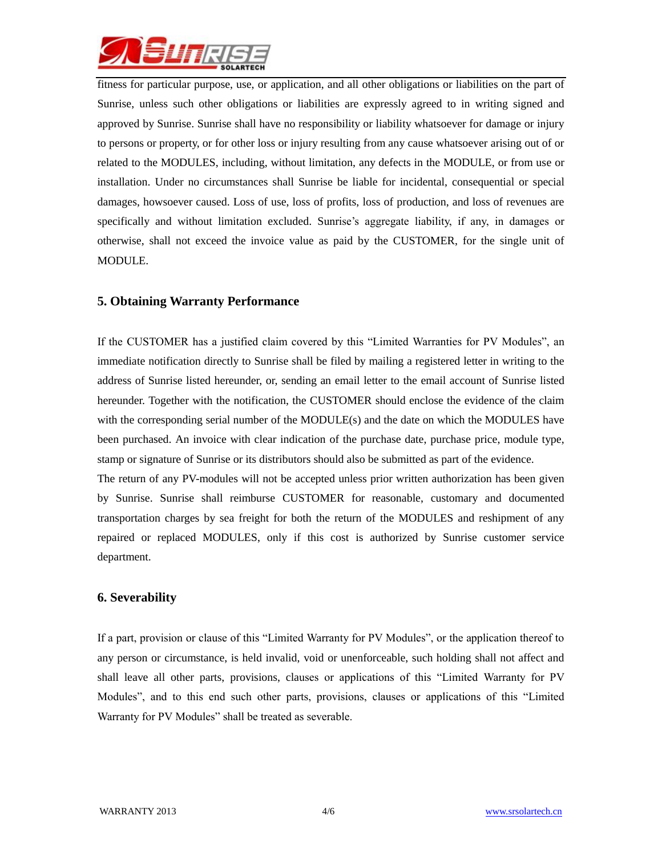

fitness for particular purpose, use, or application, and all other obligations or liabilities on the part of Sunrise, unless such other obligations or liabilities are expressly agreed to in writing signed and approved by Sunrise. Sunrise shall have no responsibility or liability whatsoever for damage or injury to persons or property, or for other loss or injury resulting from any cause whatsoever arising out of or related to the MODULES, including, without limitation, any defects in the MODULE, or from use or installation. Under no circumstances shall Sunrise be liable for incidental, consequential or special damages, howsoever caused. Loss of use, loss of profits, loss of production, and loss of revenues are specifically and without limitation excluded. Sunrise's aggregate liability, if any, in damages or otherwise, shall not exceed the invoice value as paid by the CUSTOMER, for the single unit of MODULE.

### **5. Obtaining Warranty Performance**

If the CUSTOMER has a justified claim covered by this "Limited Warranties for PV Modules", an immediate notification directly to Sunrise shall be filed by mailing a registered letter in writing to the address of Sunrise listed hereunder, or, sending an email letter to the email account of Sunrise listed hereunder. Together with the notification, the CUSTOMER should enclose the evidence of the claim with the corresponding serial number of the MODULE(s) and the date on which the MODULES have been purchased. An invoice with clear indication of the purchase date, purchase price, module type, stamp or signature of Sunrise or its distributors should also be submitted as part of the evidence.

The return of any PV-modules will not be accepted unless prior written authorization has been given by Sunrise. Sunrise shall reimburse CUSTOMER for reasonable, customary and documented transportation charges by sea freight for both the return of the MODULES and reshipment of any repaired or replaced MODULES, only if this cost is authorized by Sunrise customer service department.

### **6. Severability**

If a part, provision or clause of this "Limited Warranty for PV Modules", or the application thereof to any person or circumstance, is held invalid, void or unenforceable, such holding shall not affect and shall leave all other parts, provisions, clauses or applications of this "Limited Warranty for PV Modules", and to this end such other parts, provisions, clauses or applications of this "Limited Warranty for PV Modules" shall be treated as severable.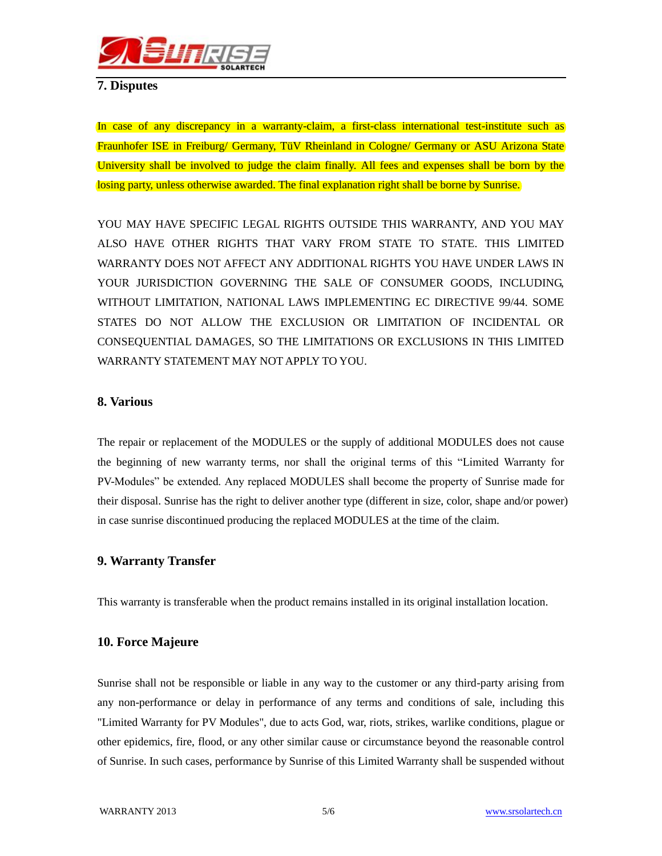

### **7. Disputes**

In case of any discrepancy in a warranty-claim, a first-class international test-institute such as Fraunhofer ISE in Freiburg/ Germany, TüV Rheinland in Cologne/ Germany or ASU Arizona State University shall be involved to judge the claim finally. All fees and expenses shall be born by the losing party, unless otherwise awarded. The final explanation right shall be borne by Sunrise.

YOU MAY HAVE SPECIFIC LEGAL RIGHTS OUTSIDE THIS WARRANTY, AND YOU MAY ALSO HAVE OTHER RIGHTS THAT VARY FROM STATE TO STATE. THIS LIMITED WARRANTY DOES NOT AFFECT ANY ADDITIONAL RIGHTS YOU HAVE UNDER LAWS IN YOUR JURISDICTION GOVERNING THE SALE OF CONSUMER GOODS, INCLUDING, WITHOUT LIMITATION, NATIONAL LAWS IMPLEMENTING EC DIRECTIVE 99/44. SOME STATES DO NOT ALLOW THE EXCLUSION OR LIMITATION OF INCIDENTAL OR CONSEQUENTIAL DAMAGES, SO THE LIMITATIONS OR EXCLUSIONS IN THIS LIMITED WARRANTY STATEMENT MAY NOT APPLY TO YOU.

### **8. Various**

The repair or replacement of the MODULES or the supply of additional MODULES does not cause the beginning of new warranty terms, nor shall the original terms of this "Limited Warranty for PV-Modules" be extended. Any replaced MODULES shall become the property of Sunrise made for their disposal. Sunrise has the right to deliver another type (different in size, color, shape and/or power) in case sunrise discontinued producing the replaced MODULES at the time of the claim.

### **9. Warranty Transfer**

This warranty is transferable when the product remains installed in its original installation location.

### **10. Force Majeure**

Sunrise shall not be responsible or liable in any way to the customer or any third-party arising from any non-performance or delay in performance of any terms and conditions of sale, including this "Limited Warranty for PV Modules", due to acts God, war, riots, strikes, warlike conditions, plague or other epidemics, fire, flood, or any other similar cause or circumstance beyond the reasonable control of Sunrise. In such cases, performance by Sunrise of this Limited Warranty shall be suspended without